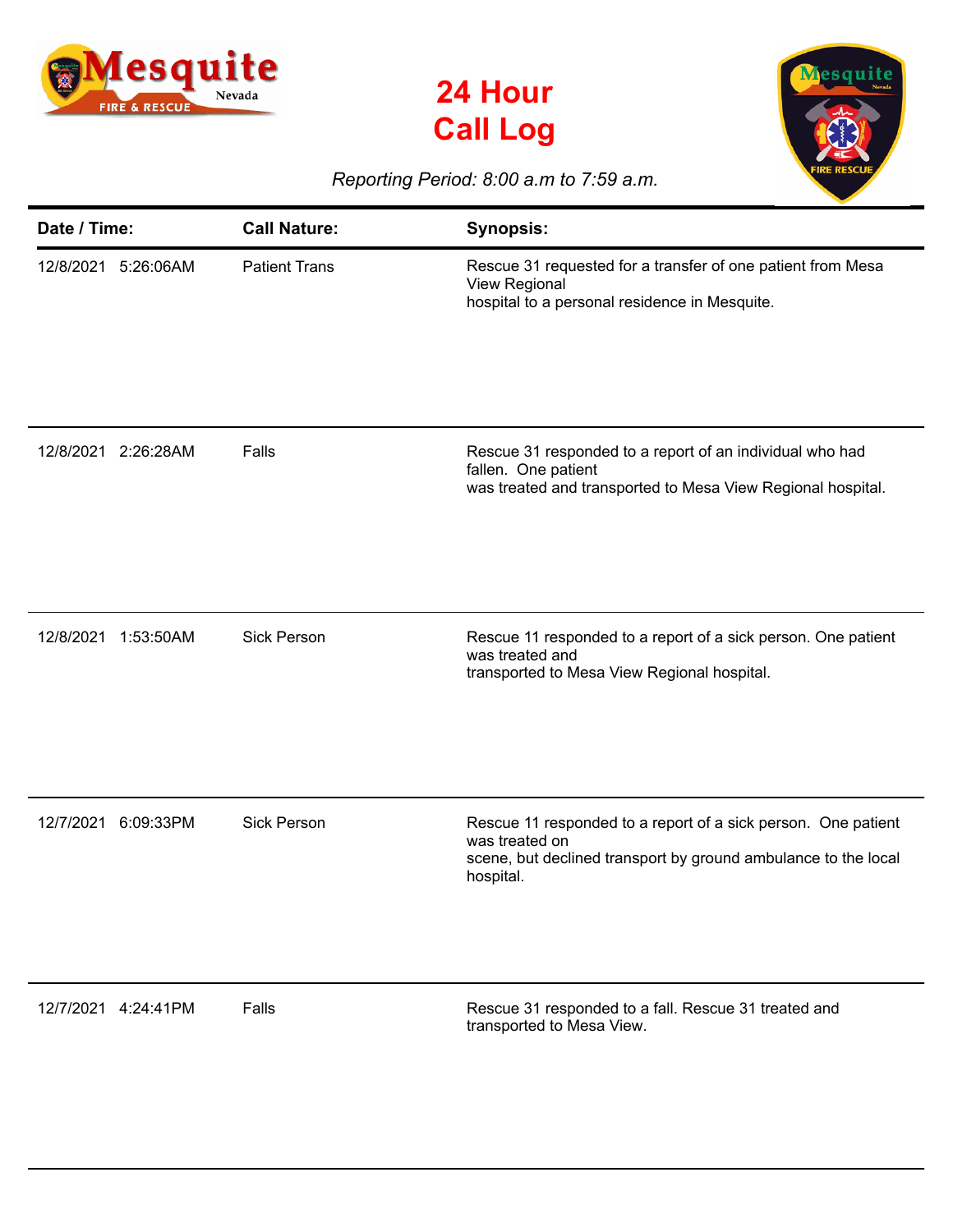





## *Reporting Period: 8:00 a.m to 7:59 a.m.*

| Date / Time: |                     | <b>Call Nature:</b>  | <b>Synopsis:</b>                                                                                                                                               |
|--------------|---------------------|----------------------|----------------------------------------------------------------------------------------------------------------------------------------------------------------|
|              | 12/8/2021 5:26:06AM | <b>Patient Trans</b> | Rescue 31 requested for a transfer of one patient from Mesa<br>View Regional<br>hospital to a personal residence in Mesquite.                                  |
|              | 12/8/2021 2:26:28AM | Falls                | Rescue 31 responded to a report of an individual who had<br>fallen. One patient<br>was treated and transported to Mesa View Regional hospital.                 |
| 12/8/2021    | 1:53:50AM           | <b>Sick Person</b>   | Rescue 11 responded to a report of a sick person. One patient<br>was treated and<br>transported to Mesa View Regional hospital.                                |
| 12/7/2021    | 6:09:33PM           | <b>Sick Person</b>   | Rescue 11 responded to a report of a sick person. One patient<br>was treated on<br>scene, but declined transport by ground ambulance to the local<br>hospital. |
|              | 12/7/2021 4:24:41PM | Falls                | Rescue 31 responded to a fall. Rescue 31 treated and<br>transported to Mesa View.                                                                              |